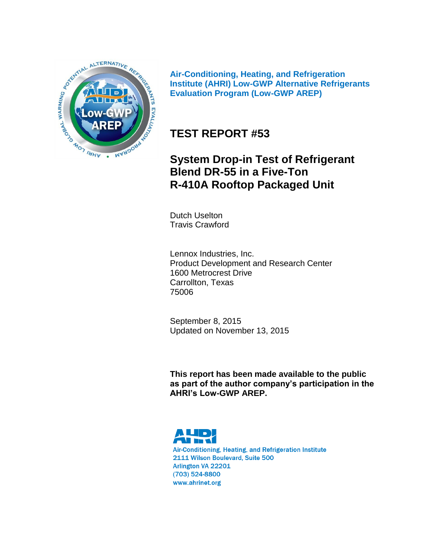

**Air-Conditioning, Heating, and Refrigeration Institute (AHRI) Low-GWP Alternative Refrigerants Evaluation Program (Low-GWP AREP)**

# **TEST REPORT #53**

# **System Drop-in Test of Refrigerant Blend DR-55 in a Five-Ton R-410A Rooftop Packaged Unit**

Dutch Uselton Travis Crawford

Lennox Industries, Inc. Product Development and Research Center 1600 Metrocrest Drive Carrollton, Texas 75006

September 8, 2015 Updated on November 13, 2015

**This report has been made available to the public as part of the author company's participation in the AHRI's Low-GWP AREP.**



Air-Conditioning, Heating, and Refrigeration Institute 2111 Wilson Boulevard, Suite 500 Arlington VA 22201  $(703)$  524-8800 www.ahrinet.org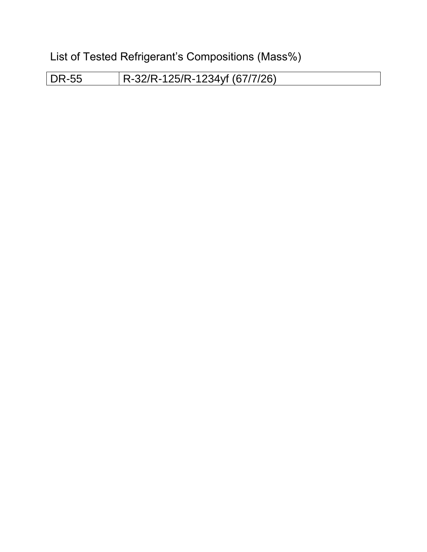List of Tested Refrigerant's Compositions (Mass%)

DR-55 R-32/R-125/R-1234yf (67/7/26)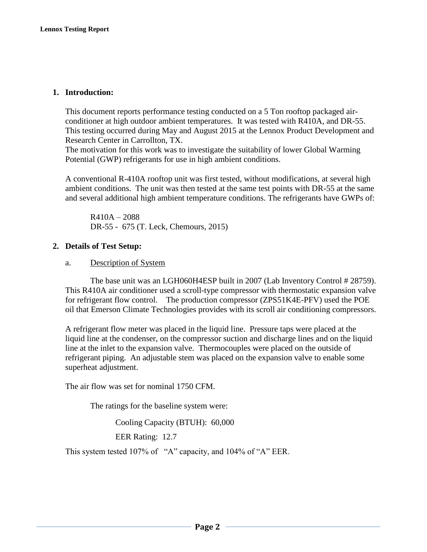### **1. Introduction:**

This document reports performance testing conducted on a 5 Ton rooftop packaged airconditioner at high outdoor ambient temperatures. It was tested with R410A, and DR-55. This testing occurred during May and August 2015 at the Lennox Product Development and Research Center in Carrollton, TX.

The motivation for this work was to investigate the suitability of lower Global Warming Potential (GWP) refrigerants for use in high ambient conditions.

A conventional R-410A rooftop unit was first tested, without modifications, at several high ambient conditions. The unit was then tested at the same test points with DR-55 at the same and several additional high ambient temperature conditions. The refrigerants have GWPs of:

 $R410A - 2088$ DR-55 - 675 (T. Leck, Chemours, 2015)

### **2. Details of Test Setup:**

#### a. Description of System

The base unit was an LGH060H4ESP built in 2007 (Lab Inventory Control # 28759). This R410A air conditioner used a scroll-type compressor with thermostatic expansion valve for refrigerant flow control. The production compressor (ZPS51K4E-PFV) used the POE oil that Emerson Climate Technologies provides with its scroll air conditioning compressors.

A refrigerant flow meter was placed in the liquid line. Pressure taps were placed at the liquid line at the condenser, on the compressor suction and discharge lines and on the liquid line at the inlet to the expansion valve. Thermocouples were placed on the outside of refrigerant piping. An adjustable stem was placed on the expansion valve to enable some superheat adjustment.

The air flow was set for nominal 1750 CFM.

The ratings for the baseline system were:

Cooling Capacity (BTUH): 60,000

EER Rating: 12.7

This system tested 107% of "A" capacity, and 104% of "A" EER.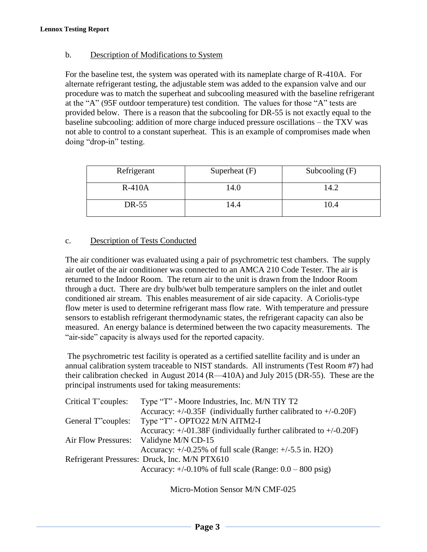### b. Description of Modifications to System

For the baseline test, the system was operated with its nameplate charge of R-410A. For alternate refrigerant testing, the adjustable stem was added to the expansion valve and our procedure was to match the superheat and subcooling measured with the baseline refrigerant at the "A" (95F outdoor temperature) test condition. The values for those "A" tests are provided below. There is a reason that the subcooling for DR-55 is not exactly equal to the baseline subcooling: addition of more charge induced pressure oscillations – the TXV was not able to control to a constant superheat. This is an example of compromises made when doing "drop-in" testing.

| Refrigerant | Superheat $(F)$ | Subcooling $(F)$ |
|-------------|-----------------|------------------|
| $R-410A$    | 14.0            | 14.2             |
| DR-55       | 14.4            | 10.4             |

### c. Description of Tests Conducted

The air conditioner was evaluated using a pair of psychrometric test chambers. The supply air outlet of the air conditioner was connected to an AMCA 210 Code Tester. The air is returned to the Indoor Room. The return air to the unit is drawn from the Indoor Room through a duct. There are dry bulb/wet bulb temperature samplers on the inlet and outlet conditioned air stream. This enables measurement of air side capacity. A Coriolis-type flow meter is used to determine refrigerant mass flow rate. With temperature and pressure sensors to establish refrigerant thermodynamic states, the refrigerant capacity can also be measured. An energy balance is determined between the two capacity measurements. The "air-side" capacity is always used for the reported capacity.

The psychrometric test facility is operated as a certified satellite facility and is under an annual calibration system traceable to NIST standards. All instruments (Test Room #7) had their calibration checked in August 2014 (R—410A) and July 2015 (DR-55). These are the principal instruments used for taking measurements:

| Critical T'couples: | Type "T" - Moore Industries, Inc. M/N TIY T2                            |
|---------------------|-------------------------------------------------------------------------|
|                     | Accuracy: $+/-0.35F$ (individually further calibrated to $+/-0.20F$ )   |
| General T"couples:  | Type "T" - OPTO22 M/N AITM2-I                                           |
|                     | Accuracy: $+/-01.38$ F (individually further calibrated to $+/-0.20$ F) |
|                     | Air Flow Pressures: Validyne M/N CD-15                                  |
|                     | Accuracy: $+/-0.25\%$ of full scale (Range: $+/-5.5$ in. H2O)           |
|                     | Refrigerant Pressures: Druck, Inc. M/N PTX610                           |
|                     | Accuracy: $+/-0.10\%$ of full scale (Range: $0.0 - 800$ psig)           |

Micro-Motion Sensor M/N CMF-025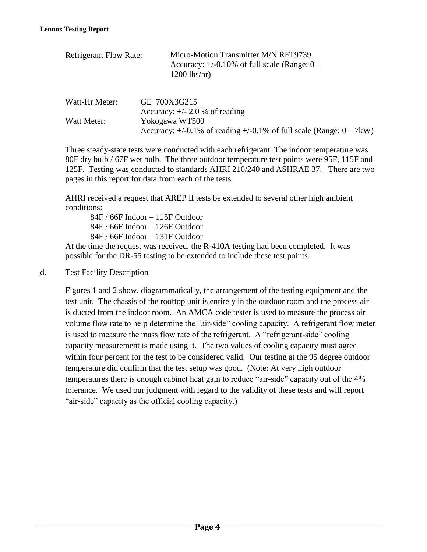| <b>Refrigerant Flow Rate:</b> | Micro-Motion Transmitter M/N RFT9739<br>Accuracy: $+/-0.10\%$ of full scale (Range: $0 -$<br>$1200$ lbs/hr) |
|-------------------------------|-------------------------------------------------------------------------------------------------------------|
| Watt-Hr Meter:                | GE 700X3G215                                                                                                |
| Watt Meter:                   | Accuracy: $+/- 2.0 %$ of reading<br>Yokogawa WT500                                                          |

Three steady-state tests were conducted with each refrigerant. The indoor temperature was 80F dry bulb / 67F wet bulb. The three outdoor temperature test points were 95F, 115F and 125F. Testing was conducted to standards AHRI 210/240 and ASHRAE 37. There are two pages in this report for data from each of the tests.

Accuracy:  $+/-0.1\%$  of reading  $+/-0.1\%$  of full scale (Range:  $0-7kW$ )

AHRI received a request that AREP II tests be extended to several other high ambient conditions:

84F / 66F Indoor – 115F Outdoor 84F / 66F Indoor – 126F Outdoor 84F / 66F Indoor – 131F Outdoor

At the time the request was received, the R-410A testing had been completed. It was possible for the DR-55 testing to be extended to include these test points.

## d. Test Facility Description

Figures 1 and 2 show, diagrammatically, the arrangement of the testing equipment and the test unit. The chassis of the rooftop unit is entirely in the outdoor room and the process air is ducted from the indoor room. An AMCA code tester is used to measure the process air volume flow rate to help determine the "air-side" cooling capacity. A refrigerant flow meter is used to measure the mass flow rate of the refrigerant. A "refrigerant-side" cooling capacity measurement is made using it. The two values of cooling capacity must agree within four percent for the test to be considered valid. Our testing at the 95 degree outdoor temperature did confirm that the test setup was good. (Note: At very high outdoor temperatures there is enough cabinet heat gain to reduce "air-side" capacity out of the 4% tolerance. We used our judgment with regard to the validity of these tests and will report "air-side" capacity as the official cooling capacity.)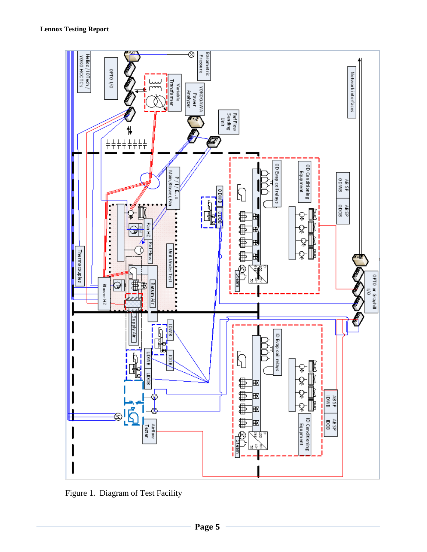

Figure 1. Diagram of Test Facility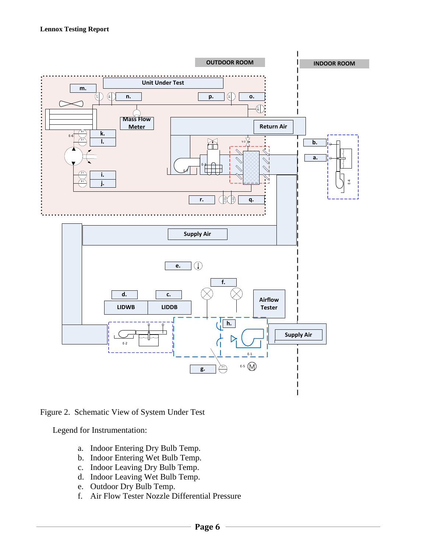

Figure 2. Schematic View of System Under Test

Legend for Instrumentation:

- a. Indoor Entering Dry Bulb Temp.
- b. Indoor Entering Wet Bulb Temp.
- c. Indoor Leaving Dry Bulb Temp.
- d. Indoor Leaving Wet Bulb Temp.
- e. Outdoor Dry Bulb Temp.
- f. Air Flow Tester Nozzle Differential Pressure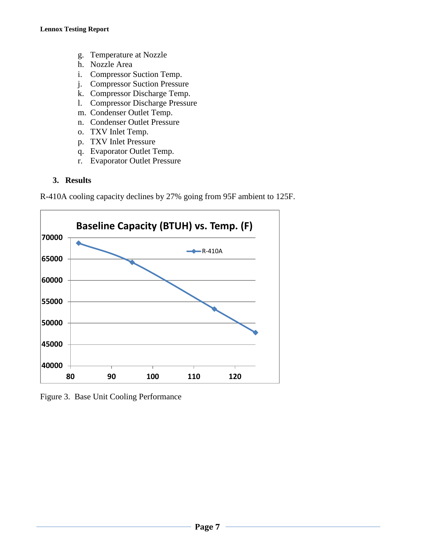- g. Temperature at Nozzle
- h. Nozzle Area
- i. Compressor Suction Temp.
- j. Compressor Suction Pressure
- k. Compressor Discharge Temp.
- l. Compressor Discharge Pressure
- m. Condenser Outlet Temp.
- n. Condenser Outlet Pressure
- o. TXV Inlet Temp.
- p. TXV Inlet Pressure
- q. Evaporator Outlet Temp.
- r. Evaporator Outlet Pressure

## **3. Results**

R-410A cooling capacity declines by 27% going from 95F ambient to 125F.



Figure 3. Base Unit Cooling Performance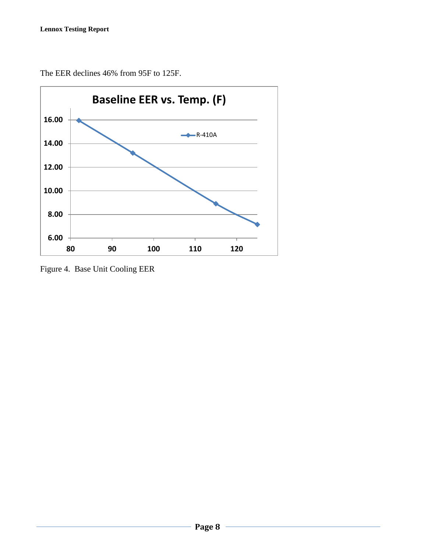The EER declines 46% from 95F to 125F.



Figure 4. Base Unit Cooling EER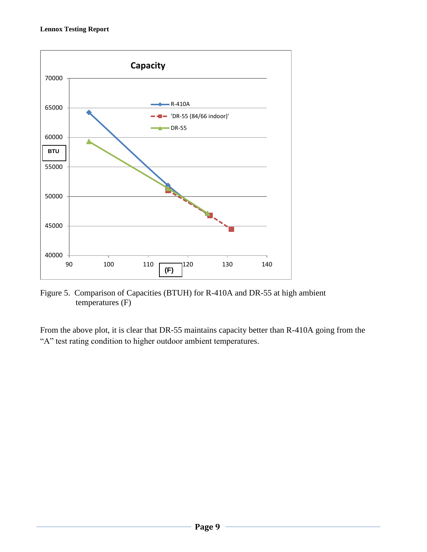

Figure 5. Comparison of Capacities (BTUH) for R-410A and DR-55 at high ambient temperatures (F)

From the above plot, it is clear that DR-55 maintains capacity better than R-410A going from the "A" test rating condition to higher outdoor ambient temperatures.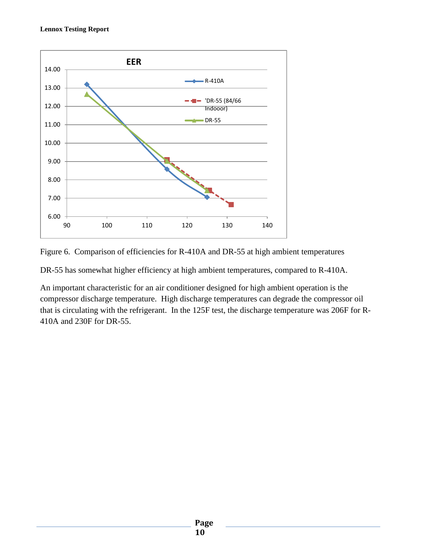



DR-55 has somewhat higher efficiency at high ambient temperatures, compared to R-410A.

An important characteristic for an air conditioner designed for high ambient operation is the compressor discharge temperature. High discharge temperatures can degrade the compressor oil that is circulating with the refrigerant. In the 125F test, the discharge temperature was 206F for R-410A and 230F for DR-55.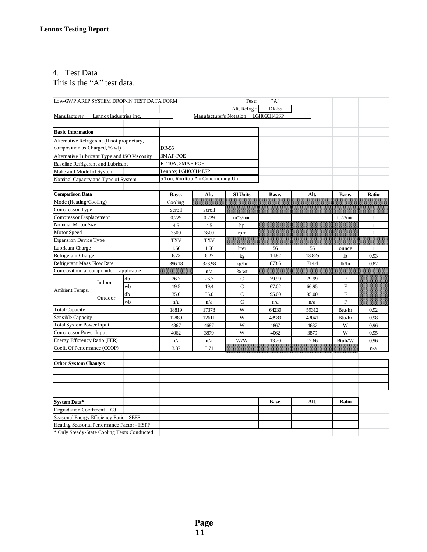# 4. Test Data

This is the "A" test data.

| Alt. Refrig.:<br>DR-55<br>Manufacturer's Notation: LGH060H4ESP<br>Manufacturer:<br>Lennox Industries Inc.<br><b>Basic Information</b><br>Alternative Refrigerant (If not proprietary,<br>composition as Charged, % wt)<br>DR-55<br>3MAF-POE<br>Alternative Lubricant Type and ISO Viscosity<br>R-410A, 3MAF-POE<br>Baseline Refrigerant and Lubricant<br>Lennox, LGH060H4ESP<br>Make and Model of System<br>5 Ton, Rooftop Air Conditioning Unit<br>Nominal Capacity and Type of System<br><b>Comparison Data</b><br><b>SI Units</b><br>Base.<br>Alt.<br>Base.<br>Alt.<br>Base.<br>Ratio<br>Mode (Heating/Cooling)<br>Cooling<br>Compressor Type<br>scroll<br>scroll<br>Compressor Displacement<br>0.229<br>0.229<br>$m^2/$ min<br>ft ^3min<br>1<br>Nominal Motor Size<br>4.5<br>4.5<br>hp<br>$\mathbf{1}$<br>Motor Speed<br>$\mathbf{1}$<br>3500<br>3500<br>rpm<br><b>Expansion Device Type</b><br><b>TXV</b><br><b>TXV</b><br>Lubricant Charge<br>1.66<br>1.66<br>56<br>$\mathbf{1}$<br>liter<br>56<br>ounce<br>6.72<br>14.82<br>Refrigerant Charge<br>6.27<br>13.825<br>0.93<br>lb<br>kg<br>Refrigerant Mass Flow Rate<br>714.4<br>873.6<br>396.18<br>0.82<br>323.98<br>kg/hr<br>lb/hr<br>Composition, at compr. inlet if applicable<br>n/a<br>$%$ wt<br>79.99<br>79.99<br>db<br>$\mathbf C$<br>F<br>26.7<br>26.7<br>Indoor<br>wb<br>19.5<br>19.4<br>$\mathsf{C}$<br>67.02<br>F<br>66.95<br>Ambient Temps.<br>db<br>35.0<br>$\mathbf C$<br>95.00<br>$\mathbf{F}$<br>35.0<br>95.00<br>Outdoor<br>wb<br>$\mathbf C$<br>F<br>n/a<br>n/a<br>n/a<br>n/a<br><b>Total Capacity</b><br>18819<br>17378<br>W<br>64230<br>59312<br>0.92<br>Btu/hr<br>Sensible Capacity<br>12889<br>W<br>43989<br>43041<br>0.98<br>12611<br>Btu/hr<br><b>Total System Power Input</b><br>4867<br>W<br>0.96<br>4687<br>4867<br>4687<br>W<br>Compressor Power Input<br>W<br>W<br>4062<br>3879<br>4062<br>3879<br>0.95<br>Energy Efficiency Ratio (EER)<br>W/W<br>13.20<br>0.96<br>12.66<br>Btuh/W<br>n/a<br>n/a<br>Coeff. Of Performance (CCOP)<br>3.87<br>3.71<br>n/a<br><b>Other System Changes</b> |  | Low-GWP AREP SYSTEM DROP-IN TEST DATA FORM |  |  | Test: | "A" |  |  |
|----------------------------------------------------------------------------------------------------------------------------------------------------------------------------------------------------------------------------------------------------------------------------------------------------------------------------------------------------------------------------------------------------------------------------------------------------------------------------------------------------------------------------------------------------------------------------------------------------------------------------------------------------------------------------------------------------------------------------------------------------------------------------------------------------------------------------------------------------------------------------------------------------------------------------------------------------------------------------------------------------------------------------------------------------------------------------------------------------------------------------------------------------------------------------------------------------------------------------------------------------------------------------------------------------------------------------------------------------------------------------------------------------------------------------------------------------------------------------------------------------------------------------------------------------------------------------------------------------------------------------------------------------------------------------------------------------------------------------------------------------------------------------------------------------------------------------------------------------------------------------------------------------------------------------------------------------------------------------------------------------------------------------------------------------------------------------|--|--------------------------------------------|--|--|-------|-----|--|--|
|                                                                                                                                                                                                                                                                                                                                                                                                                                                                                                                                                                                                                                                                                                                                                                                                                                                                                                                                                                                                                                                                                                                                                                                                                                                                                                                                                                                                                                                                                                                                                                                                                                                                                                                                                                                                                                                                                                                                                                                                                                                                            |  |                                            |  |  |       |     |  |  |
|                                                                                                                                                                                                                                                                                                                                                                                                                                                                                                                                                                                                                                                                                                                                                                                                                                                                                                                                                                                                                                                                                                                                                                                                                                                                                                                                                                                                                                                                                                                                                                                                                                                                                                                                                                                                                                                                                                                                                                                                                                                                            |  |                                            |  |  |       |     |  |  |
|                                                                                                                                                                                                                                                                                                                                                                                                                                                                                                                                                                                                                                                                                                                                                                                                                                                                                                                                                                                                                                                                                                                                                                                                                                                                                                                                                                                                                                                                                                                                                                                                                                                                                                                                                                                                                                                                                                                                                                                                                                                                            |  |                                            |  |  |       |     |  |  |
|                                                                                                                                                                                                                                                                                                                                                                                                                                                                                                                                                                                                                                                                                                                                                                                                                                                                                                                                                                                                                                                                                                                                                                                                                                                                                                                                                                                                                                                                                                                                                                                                                                                                                                                                                                                                                                                                                                                                                                                                                                                                            |  |                                            |  |  |       |     |  |  |
|                                                                                                                                                                                                                                                                                                                                                                                                                                                                                                                                                                                                                                                                                                                                                                                                                                                                                                                                                                                                                                                                                                                                                                                                                                                                                                                                                                                                                                                                                                                                                                                                                                                                                                                                                                                                                                                                                                                                                                                                                                                                            |  |                                            |  |  |       |     |  |  |
|                                                                                                                                                                                                                                                                                                                                                                                                                                                                                                                                                                                                                                                                                                                                                                                                                                                                                                                                                                                                                                                                                                                                                                                                                                                                                                                                                                                                                                                                                                                                                                                                                                                                                                                                                                                                                                                                                                                                                                                                                                                                            |  |                                            |  |  |       |     |  |  |
|                                                                                                                                                                                                                                                                                                                                                                                                                                                                                                                                                                                                                                                                                                                                                                                                                                                                                                                                                                                                                                                                                                                                                                                                                                                                                                                                                                                                                                                                                                                                                                                                                                                                                                                                                                                                                                                                                                                                                                                                                                                                            |  |                                            |  |  |       |     |  |  |
|                                                                                                                                                                                                                                                                                                                                                                                                                                                                                                                                                                                                                                                                                                                                                                                                                                                                                                                                                                                                                                                                                                                                                                                                                                                                                                                                                                                                                                                                                                                                                                                                                                                                                                                                                                                                                                                                                                                                                                                                                                                                            |  |                                            |  |  |       |     |  |  |
|                                                                                                                                                                                                                                                                                                                                                                                                                                                                                                                                                                                                                                                                                                                                                                                                                                                                                                                                                                                                                                                                                                                                                                                                                                                                                                                                                                                                                                                                                                                                                                                                                                                                                                                                                                                                                                                                                                                                                                                                                                                                            |  |                                            |  |  |       |     |  |  |
|                                                                                                                                                                                                                                                                                                                                                                                                                                                                                                                                                                                                                                                                                                                                                                                                                                                                                                                                                                                                                                                                                                                                                                                                                                                                                                                                                                                                                                                                                                                                                                                                                                                                                                                                                                                                                                                                                                                                                                                                                                                                            |  |                                            |  |  |       |     |  |  |
|                                                                                                                                                                                                                                                                                                                                                                                                                                                                                                                                                                                                                                                                                                                                                                                                                                                                                                                                                                                                                                                                                                                                                                                                                                                                                                                                                                                                                                                                                                                                                                                                                                                                                                                                                                                                                                                                                                                                                                                                                                                                            |  |                                            |  |  |       |     |  |  |
|                                                                                                                                                                                                                                                                                                                                                                                                                                                                                                                                                                                                                                                                                                                                                                                                                                                                                                                                                                                                                                                                                                                                                                                                                                                                                                                                                                                                                                                                                                                                                                                                                                                                                                                                                                                                                                                                                                                                                                                                                                                                            |  |                                            |  |  |       |     |  |  |
|                                                                                                                                                                                                                                                                                                                                                                                                                                                                                                                                                                                                                                                                                                                                                                                                                                                                                                                                                                                                                                                                                                                                                                                                                                                                                                                                                                                                                                                                                                                                                                                                                                                                                                                                                                                                                                                                                                                                                                                                                                                                            |  |                                            |  |  |       |     |  |  |
|                                                                                                                                                                                                                                                                                                                                                                                                                                                                                                                                                                                                                                                                                                                                                                                                                                                                                                                                                                                                                                                                                                                                                                                                                                                                                                                                                                                                                                                                                                                                                                                                                                                                                                                                                                                                                                                                                                                                                                                                                                                                            |  |                                            |  |  |       |     |  |  |
|                                                                                                                                                                                                                                                                                                                                                                                                                                                                                                                                                                                                                                                                                                                                                                                                                                                                                                                                                                                                                                                                                                                                                                                                                                                                                                                                                                                                                                                                                                                                                                                                                                                                                                                                                                                                                                                                                                                                                                                                                                                                            |  |                                            |  |  |       |     |  |  |
|                                                                                                                                                                                                                                                                                                                                                                                                                                                                                                                                                                                                                                                                                                                                                                                                                                                                                                                                                                                                                                                                                                                                                                                                                                                                                                                                                                                                                                                                                                                                                                                                                                                                                                                                                                                                                                                                                                                                                                                                                                                                            |  |                                            |  |  |       |     |  |  |
|                                                                                                                                                                                                                                                                                                                                                                                                                                                                                                                                                                                                                                                                                                                                                                                                                                                                                                                                                                                                                                                                                                                                                                                                                                                                                                                                                                                                                                                                                                                                                                                                                                                                                                                                                                                                                                                                                                                                                                                                                                                                            |  |                                            |  |  |       |     |  |  |
|                                                                                                                                                                                                                                                                                                                                                                                                                                                                                                                                                                                                                                                                                                                                                                                                                                                                                                                                                                                                                                                                                                                                                                                                                                                                                                                                                                                                                                                                                                                                                                                                                                                                                                                                                                                                                                                                                                                                                                                                                                                                            |  |                                            |  |  |       |     |  |  |
|                                                                                                                                                                                                                                                                                                                                                                                                                                                                                                                                                                                                                                                                                                                                                                                                                                                                                                                                                                                                                                                                                                                                                                                                                                                                                                                                                                                                                                                                                                                                                                                                                                                                                                                                                                                                                                                                                                                                                                                                                                                                            |  |                                            |  |  |       |     |  |  |
|                                                                                                                                                                                                                                                                                                                                                                                                                                                                                                                                                                                                                                                                                                                                                                                                                                                                                                                                                                                                                                                                                                                                                                                                                                                                                                                                                                                                                                                                                                                                                                                                                                                                                                                                                                                                                                                                                                                                                                                                                                                                            |  |                                            |  |  |       |     |  |  |
|                                                                                                                                                                                                                                                                                                                                                                                                                                                                                                                                                                                                                                                                                                                                                                                                                                                                                                                                                                                                                                                                                                                                                                                                                                                                                                                                                                                                                                                                                                                                                                                                                                                                                                                                                                                                                                                                                                                                                                                                                                                                            |  |                                            |  |  |       |     |  |  |
|                                                                                                                                                                                                                                                                                                                                                                                                                                                                                                                                                                                                                                                                                                                                                                                                                                                                                                                                                                                                                                                                                                                                                                                                                                                                                                                                                                                                                                                                                                                                                                                                                                                                                                                                                                                                                                                                                                                                                                                                                                                                            |  |                                            |  |  |       |     |  |  |
|                                                                                                                                                                                                                                                                                                                                                                                                                                                                                                                                                                                                                                                                                                                                                                                                                                                                                                                                                                                                                                                                                                                                                                                                                                                                                                                                                                                                                                                                                                                                                                                                                                                                                                                                                                                                                                                                                                                                                                                                                                                                            |  |                                            |  |  |       |     |  |  |
|                                                                                                                                                                                                                                                                                                                                                                                                                                                                                                                                                                                                                                                                                                                                                                                                                                                                                                                                                                                                                                                                                                                                                                                                                                                                                                                                                                                                                                                                                                                                                                                                                                                                                                                                                                                                                                                                                                                                                                                                                                                                            |  |                                            |  |  |       |     |  |  |
|                                                                                                                                                                                                                                                                                                                                                                                                                                                                                                                                                                                                                                                                                                                                                                                                                                                                                                                                                                                                                                                                                                                                                                                                                                                                                                                                                                                                                                                                                                                                                                                                                                                                                                                                                                                                                                                                                                                                                                                                                                                                            |  |                                            |  |  |       |     |  |  |
|                                                                                                                                                                                                                                                                                                                                                                                                                                                                                                                                                                                                                                                                                                                                                                                                                                                                                                                                                                                                                                                                                                                                                                                                                                                                                                                                                                                                                                                                                                                                                                                                                                                                                                                                                                                                                                                                                                                                                                                                                                                                            |  |                                            |  |  |       |     |  |  |
|                                                                                                                                                                                                                                                                                                                                                                                                                                                                                                                                                                                                                                                                                                                                                                                                                                                                                                                                                                                                                                                                                                                                                                                                                                                                                                                                                                                                                                                                                                                                                                                                                                                                                                                                                                                                                                                                                                                                                                                                                                                                            |  |                                            |  |  |       |     |  |  |
|                                                                                                                                                                                                                                                                                                                                                                                                                                                                                                                                                                                                                                                                                                                                                                                                                                                                                                                                                                                                                                                                                                                                                                                                                                                                                                                                                                                                                                                                                                                                                                                                                                                                                                                                                                                                                                                                                                                                                                                                                                                                            |  |                                            |  |  |       |     |  |  |
|                                                                                                                                                                                                                                                                                                                                                                                                                                                                                                                                                                                                                                                                                                                                                                                                                                                                                                                                                                                                                                                                                                                                                                                                                                                                                                                                                                                                                                                                                                                                                                                                                                                                                                                                                                                                                                                                                                                                                                                                                                                                            |  |                                            |  |  |       |     |  |  |
|                                                                                                                                                                                                                                                                                                                                                                                                                                                                                                                                                                                                                                                                                                                                                                                                                                                                                                                                                                                                                                                                                                                                                                                                                                                                                                                                                                                                                                                                                                                                                                                                                                                                                                                                                                                                                                                                                                                                                                                                                                                                            |  |                                            |  |  |       |     |  |  |
|                                                                                                                                                                                                                                                                                                                                                                                                                                                                                                                                                                                                                                                                                                                                                                                                                                                                                                                                                                                                                                                                                                                                                                                                                                                                                                                                                                                                                                                                                                                                                                                                                                                                                                                                                                                                                                                                                                                                                                                                                                                                            |  |                                            |  |  |       |     |  |  |
|                                                                                                                                                                                                                                                                                                                                                                                                                                                                                                                                                                                                                                                                                                                                                                                                                                                                                                                                                                                                                                                                                                                                                                                                                                                                                                                                                                                                                                                                                                                                                                                                                                                                                                                                                                                                                                                                                                                                                                                                                                                                            |  |                                            |  |  |       |     |  |  |
|                                                                                                                                                                                                                                                                                                                                                                                                                                                                                                                                                                                                                                                                                                                                                                                                                                                                                                                                                                                                                                                                                                                                                                                                                                                                                                                                                                                                                                                                                                                                                                                                                                                                                                                                                                                                                                                                                                                                                                                                                                                                            |  |                                            |  |  |       |     |  |  |
|                                                                                                                                                                                                                                                                                                                                                                                                                                                                                                                                                                                                                                                                                                                                                                                                                                                                                                                                                                                                                                                                                                                                                                                                                                                                                                                                                                                                                                                                                                                                                                                                                                                                                                                                                                                                                                                                                                                                                                                                                                                                            |  |                                            |  |  |       |     |  |  |
|                                                                                                                                                                                                                                                                                                                                                                                                                                                                                                                                                                                                                                                                                                                                                                                                                                                                                                                                                                                                                                                                                                                                                                                                                                                                                                                                                                                                                                                                                                                                                                                                                                                                                                                                                                                                                                                                                                                                                                                                                                                                            |  |                                            |  |  |       |     |  |  |
|                                                                                                                                                                                                                                                                                                                                                                                                                                                                                                                                                                                                                                                                                                                                                                                                                                                                                                                                                                                                                                                                                                                                                                                                                                                                                                                                                                                                                                                                                                                                                                                                                                                                                                                                                                                                                                                                                                                                                                                                                                                                            |  |                                            |  |  |       |     |  |  |
| Alt.<br>Ratio<br>System Data*<br>Base.                                                                                                                                                                                                                                                                                                                                                                                                                                                                                                                                                                                                                                                                                                                                                                                                                                                                                                                                                                                                                                                                                                                                                                                                                                                                                                                                                                                                                                                                                                                                                                                                                                                                                                                                                                                                                                                                                                                                                                                                                                     |  |                                            |  |  |       |     |  |  |
| Degradation Coefficient - Cd                                                                                                                                                                                                                                                                                                                                                                                                                                                                                                                                                                                                                                                                                                                                                                                                                                                                                                                                                                                                                                                                                                                                                                                                                                                                                                                                                                                                                                                                                                                                                                                                                                                                                                                                                                                                                                                                                                                                                                                                                                               |  |                                            |  |  |       |     |  |  |
| Seasonal Energy Efficiency Ratio - SEER                                                                                                                                                                                                                                                                                                                                                                                                                                                                                                                                                                                                                                                                                                                                                                                                                                                                                                                                                                                                                                                                                                                                                                                                                                                                                                                                                                                                                                                                                                                                                                                                                                                                                                                                                                                                                                                                                                                                                                                                                                    |  |                                            |  |  |       |     |  |  |
| Heating Seasonal Performance Factor - HSPF                                                                                                                                                                                                                                                                                                                                                                                                                                                                                                                                                                                                                                                                                                                                                                                                                                                                                                                                                                                                                                                                                                                                                                                                                                                                                                                                                                                                                                                                                                                                                                                                                                                                                                                                                                                                                                                                                                                                                                                                                                 |  |                                            |  |  |       |     |  |  |
| * Only Steady-State Cooling Tests Conducted                                                                                                                                                                                                                                                                                                                                                                                                                                                                                                                                                                                                                                                                                                                                                                                                                                                                                                                                                                                                                                                                                                                                                                                                                                                                                                                                                                                                                                                                                                                                                                                                                                                                                                                                                                                                                                                                                                                                                                                                                                |  |                                            |  |  |       |     |  |  |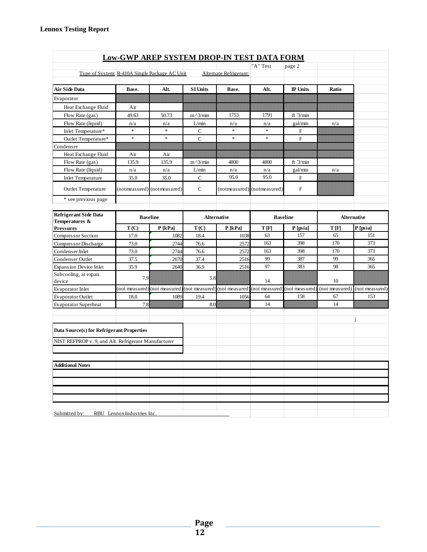| Low-GWP AREP SYSTEM DROP-IN TEST DATA FORM                                                                                       |                            |                               |                     |                        |                                     |                      |                      |                       |  |  |
|----------------------------------------------------------------------------------------------------------------------------------|----------------------------|-------------------------------|---------------------|------------------------|-------------------------------------|----------------------|----------------------|-----------------------|--|--|
|                                                                                                                                  |                            |                               |                     |                        | "A" Test                            | page 2               |                      |                       |  |  |
| Type of System: R-410A Single Package AC Unit                                                                                    |                            |                               |                     | Alternate Refrigerant: |                                     |                      |                      |                       |  |  |
| Air Side Data                                                                                                                    | Base.                      | Alt.                          | <b>SI Units</b>     | Base.                  | Alt.                                | <b>IP</b> Units      | Ratio                |                       |  |  |
| Evaporator                                                                                                                       |                            |                               |                     |                        |                                     |                      |                      |                       |  |  |
|                                                                                                                                  |                            |                               |                     |                        |                                     |                      |                      |                       |  |  |
| Heat Exchange Fluid                                                                                                              | Air                        |                               |                     |                        |                                     |                      |                      |                       |  |  |
| Flow Rate (gas)                                                                                                                  | 49.63                      | 50.73                         | $m^2/$ min          | 1753                   | 1791                                | ft $3/min$           |                      |                       |  |  |
| Flow Rate (liquid)                                                                                                               | n/a                        | n/a                           | L/min               | n/a                    | n/a                                 | gal/min              | n/a                  |                       |  |  |
| Inlet Temperature*                                                                                                               | $\ast$<br>$\ast$           | $\ast$<br>$\ast$              | C                   | $\ast$<br>$\ast$       | $\ast$<br>$\ast$                    | F                    |                      |                       |  |  |
| Outlet Temperature*                                                                                                              |                            |                               | $\mathcal{C}$       |                        |                                     | $_{\rm F}$           |                      |                       |  |  |
| Condenser                                                                                                                        |                            |                               |                     |                        |                                     |                      |                      |                       |  |  |
| Heat Exchange Fluid                                                                                                              | Air                        | Air                           |                     |                        |                                     |                      |                      |                       |  |  |
| Flow Rate (gas)<br>Flow Rate (liquid)                                                                                            | 135.9                      | 135.9                         | $m^2/$ min<br>L/min | 4800                   | 4800                                | ft $3/min$           |                      |                       |  |  |
| <b>Inlet Temperature</b>                                                                                                         | n/a<br>35.0                | n/a<br>35.0                   | $\mathbf C$         | n/a<br>95.0            | n/a<br>95.0                         | gal/min<br>F         | n/a                  |                       |  |  |
|                                                                                                                                  |                            |                               |                     |                        |                                     |                      |                      |                       |  |  |
| <b>Outlet Temperature</b>                                                                                                        |                            | (notmeasured) (notmeasured)   | $\mathbf C$         |                        | (notmeasured) (notmeasured)         | F                    |                      |                       |  |  |
| * see previous page                                                                                                              |                            |                               |                     |                        |                                     |                      |                      |                       |  |  |
| <b>Refrigerant Side Data</b><br><b>Baseline</b><br><b>Alternative</b><br><b>Baseline</b><br><b>Alternative</b><br>Temperatures & |                            |                               |                     |                        |                                     |                      |                      |                       |  |  |
| <b>Pressures</b>                                                                                                                 | T(C)                       | $P$ [kPa]                     | T(C)                | $P$ [kPa]              | TF                                  | P [psia]             | TF                   | P [psia]              |  |  |
| Compressor Suction                                                                                                               | 17.0                       | 1082                          | 18.4                | 1038                   | 63                                  | 157                  | 65                   | 151                   |  |  |
| Compressor Discharge                                                                                                             | 73.0                       | 2744                          | 76.6                | 2572                   | 163                                 | 398                  | 170                  | 373                   |  |  |
| Condenser Inlet                                                                                                                  | 73.0                       | 2744                          | 76.6                | 2572                   | 163                                 | 398                  | 170                  | 373                   |  |  |
| Condenser Outlet                                                                                                                 | 37.5                       | 2670                          | 37.4                | 2516                   | 99                                  | 387                  | 99                   | 365                   |  |  |
| <b>Expansion Device Inlet</b>                                                                                                    | 35.9                       | 2640                          | 36.9                | 2516                   | 97                                  | 383                  | 98                   | 365                   |  |  |
| Subcooling, at expan.                                                                                                            | 7.9                        |                               | 5.8                 |                        |                                     |                      |                      |                       |  |  |
| device                                                                                                                           |                            |                               |                     |                        | 14                                  |                      | 10                   |                       |  |  |
| <b>Evaporator Inlet</b>                                                                                                          | (not measured)             | (not measured) (not measured) |                     |                        | (not measured) (not measured)<br>64 | (not measured<br>158 | (not measured)<br>67 | (not measured)<br>153 |  |  |
| <b>Evaporator Outlet</b><br><b>Evaporator Superheat</b>                                                                          | 18.0<br>7.8                | 1089                          | 19.4                | 1056<br>8.0            | 14                                  |                      | 14                   |                       |  |  |
|                                                                                                                                  |                            |                               |                     |                        |                                     |                      |                      |                       |  |  |
| Data Source(s) for Refrigerant Properties                                                                                        |                            |                               |                     |                        |                                     |                      |                      |                       |  |  |
| NIST REFPROP v. 9, and Alt. Refrigerant Manufacturer                                                                             |                            |                               |                     |                        |                                     |                      |                      |                       |  |  |
|                                                                                                                                  |                            |                               |                     |                        |                                     |                      |                      |                       |  |  |
| <b>Additional Notes</b>                                                                                                          |                            |                               |                     |                        |                                     |                      |                      |                       |  |  |
|                                                                                                                                  |                            |                               |                     |                        |                                     |                      |                      |                       |  |  |
|                                                                                                                                  |                            |                               |                     |                        |                                     |                      |                      |                       |  |  |
|                                                                                                                                  |                            |                               |                     |                        |                                     |                      |                      |                       |  |  |
|                                                                                                                                  |                            |                               |                     |                        |                                     |                      |                      |                       |  |  |
|                                                                                                                                  |                            |                               |                     |                        |                                     |                      |                      |                       |  |  |
| Submitted by:                                                                                                                    | RBU Lennox Industries Inc. |                               |                     |                        |                                     |                      |                      |                       |  |  |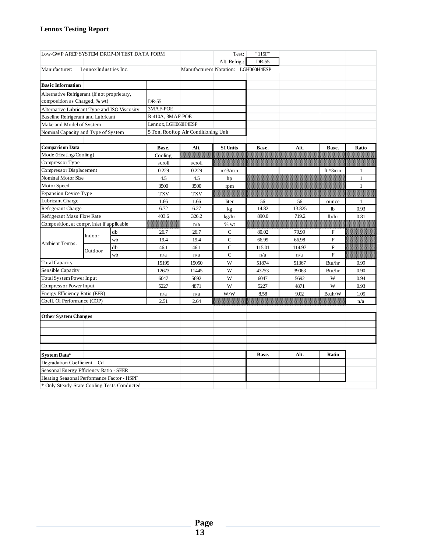# **Lennox Testing Report**

| Low-GWP AREP SYSTEM DROP-IN TEST DATA FORM   |                        |    |                     |                                      | Test:                                | "115F" |        |                           |              |
|----------------------------------------------|------------------------|----|---------------------|--------------------------------------|--------------------------------------|--------|--------|---------------------------|--------------|
|                                              |                        |    |                     |                                      | Alt. Refrig.:                        | DR-55  |        |                           |              |
| Manufacturer:                                | Lennox Industries Inc. |    |                     |                                      | Manufacturer's Notation: LGH060H4ESP |        |        |                           |              |
|                                              |                        |    |                     |                                      |                                      |        |        |                           |              |
| <b>Basic Information</b>                     |                        |    |                     |                                      |                                      |        |        |                           |              |
| Alternative Refrigerant (If not proprietary, |                        |    |                     |                                      |                                      |        |        |                           |              |
| composition as Charged, % wt)                |                        |    | DR-55               |                                      |                                      |        |        |                           |              |
| Alternative Lubricant Type and ISO Viscosity |                        |    | 3MAF-POE            |                                      |                                      |        |        |                           |              |
| Baseline Refrigerant and Lubricant           |                        |    | R-410A, 3MAF-POE    |                                      |                                      |        |        |                           |              |
| Make and Model of System                     |                        |    | Lennox, LGH060H4ESP |                                      |                                      |        |        |                           |              |
| Nominal Capacity and Type of System          |                        |    |                     | 5 Ton, Rooftop Air Conditioning Unit |                                      |        |        |                           |              |
|                                              |                        |    |                     |                                      |                                      |        |        |                           |              |
| <b>Comparison Data</b>                       |                        |    | Base.               | Alt.                                 | <b>SI Units</b>                      | Base.  | Alt.   | Base.                     | Ratio        |
| Mode (Heating/Cooling)                       |                        |    | Cooling             |                                      |                                      |        |        |                           |              |
| Compressor Type                              |                        |    | scroll              | scroll                               |                                      |        |        | 888888888888              |              |
| Compressor Displacement                      |                        |    | 0.229               | 0.229                                | $m^2/$ min                           |        |        | ft ^3min                  | 1            |
| Nominal Motor Size                           |                        |    | 4.5                 | 4.5                                  | hp                                   |        |        |                           | $\mathbf{1}$ |
| Motor Speed                                  |                        |    | 3500                | 3500                                 | rpm                                  |        |        |                           | 1            |
| <b>Expansion Device Type</b>                 |                        |    | <b>TXV</b>          | <b>TXV</b>                           |                                      |        |        |                           | mm           |
| Lubricant Charge                             |                        |    | 1.66                | 1.66                                 | liter                                | 56     | 56     | ounce                     | $\mathbf{1}$ |
| Refrigerant Charge                           |                        |    | 6.72                | 6.27                                 | kg                                   | 14.82  | 13.825 | lb                        | 0.93         |
| Refrigerant Mass Flow Rate                   |                        |    | 403.6               | 326.2                                | kg/hr                                | 890.0  | 719.2  | lb/hr                     | 0.81         |
| Composition, at compr. inlet if applicable   |                        |    |                     | n/a                                  | $%$ wt                               |        |        |                           |              |
|                                              | Indoor                 | db | 26.7                | 26.7                                 | $\mathbf C$                          | 80.02  | 79.99  | $\boldsymbol{\mathrm{F}}$ |              |
| Ambient Temps.                               |                        | wb | 19.4                | 19.4                                 | C                                    | 66.99  | 66.98  | F                         |              |
|                                              | Outdoor                | db | 46.1                | 46.1                                 | $\mathbf C$                          | 115.01 | 114.97 | F                         |              |
|                                              |                        | wb | n/a                 | n/a                                  | $\mathbf C$                          | n/a    | n/a    | F                         |              |
| <b>Total Capacity</b>                        |                        |    | 15199               | 15050                                | W                                    | 51874  | 51367  | Btu/hr                    | 0.99         |
| Sensible Capacity                            |                        |    | 12673               | 11445                                | W                                    | 43253  | 39063  | Btu/hr                    | 0.90         |
| <b>Total System Power Input</b>              |                        |    | 6047                | 5692                                 | W                                    | 6047   | 5692   | W                         | 0.94         |
| Compressor Power Input                       |                        |    | 5227                | 4871                                 | W                                    | 5227   | 4871   | W                         | 0.93         |
| Energy Efficiency Ratio (EER)                |                        |    | n/a                 | n/a                                  | W/W                                  | 8.58   | 9.02   | Btuh/W                    | 1.05         |
| Coeff. Of Performance (COP)                  |                        |    | 2.51                | 2.64                                 |                                      |        |        |                           | n/a          |
|                                              |                        |    |                     |                                      |                                      |        |        |                           |              |
| <b>Other System Changes</b>                  |                        |    |                     |                                      |                                      |        |        |                           |              |
|                                              |                        |    |                     |                                      |                                      |        |        |                           |              |
|                                              |                        |    |                     |                                      |                                      |        |        |                           |              |
|                                              |                        |    |                     |                                      |                                      |        |        |                           |              |
|                                              |                        |    |                     |                                      |                                      | Base.  | Alt.   | Ratio                     |              |
| System Data*<br>Degradation Coefficient - Cd |                        |    |                     |                                      |                                      |        |        |                           |              |
| Seasonal Energy Efficiency Ratio - SEER      |                        |    |                     |                                      |                                      |        |        |                           |              |
| Heating Seasonal Performance Factor - HSPF   |                        |    |                     |                                      |                                      |        |        |                           |              |
| * Only Steady-State Cooling Tests Conducted  |                        |    |                     |                                      |                                      |        |        |                           |              |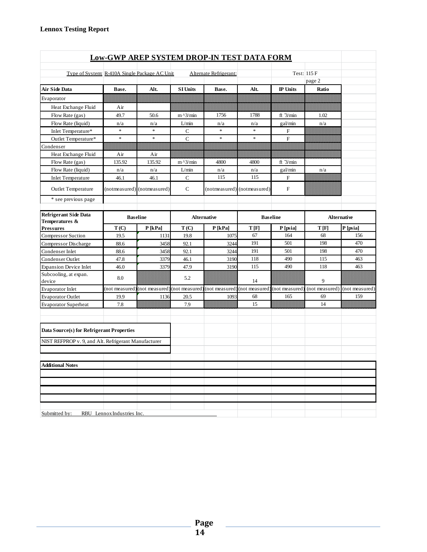| <b>Low-GWP AREP SYSTEM DROP-IN TEST DATA FORM</b>    |               |                             |                            |                        |                             |                 |                    |                |  |  |
|------------------------------------------------------|---------------|-----------------------------|----------------------------|------------------------|-----------------------------|-----------------|--------------------|----------------|--|--|
|                                                      |               |                             |                            |                        |                             |                 |                    |                |  |  |
| Type of System: R-410A Single Package AC Unit        |               |                             |                            | Alternate Refrigerant: |                             |                 | Test: 115 F        |                |  |  |
| Air Side Data                                        | Base.         | Alt.                        | <b>SI Units</b>            | Base.                  | Alt.                        | <b>IP</b> Units | page 2<br>Ratio    |                |  |  |
| Evaporator                                           |               |                             |                            |                        |                             |                 |                    |                |  |  |
|                                                      |               |                             |                            |                        |                             |                 |                    |                |  |  |
| Heat Exchange Fluid                                  | Air           |                             |                            | 1756                   | 1788                        |                 |                    |                |  |  |
| Flow Rate (gas)                                      | 49.7          | 50.6                        | $m^2/$ min                 |                        |                             | ft $3/mn$       | 1.02               |                |  |  |
| Flow Rate (liquid)                                   | n/a<br>$\ast$ | n/a<br>$\ast$               | L/min                      | n/a<br>$\ast$          | n/a<br>$\ast$               | gal/min         | n/a                |                |  |  |
| Inlet Temperature*                                   | $\ast$        | $\ast$                      | $\mathbf C$<br>$\mathbf C$ | $\ast$                 | $\ast$                      | F<br>${\bf F}$  |                    |                |  |  |
| Outlet Temperature*<br>Condenser                     |               |                             |                            |                        |                             |                 |                    |                |  |  |
| Heat Exchange Fluid                                  |               |                             |                            |                        |                             |                 |                    |                |  |  |
| Flow Rate (gas)                                      | Air<br>135.92 | Air<br>135.92               | $m^2/$ min                 | 4800                   | 4800                        | ft $3/min$      |                    |                |  |  |
| Flow Rate (liquid)                                   | n/a           | n/a                         | L/min                      | n/a                    | n/a                         | gal/min         | n/a                |                |  |  |
| <b>Inlet Temperature</b>                             | 46.1          | 46.1                        | C                          | 115                    | 115                         | F               |                    |                |  |  |
| <b>Outlet Temperature</b>                            |               | (notmeasured) (notmeasured) | $\mathsf{C}$               |                        | (notmeasured) (notmeasured) | F               |                    |                |  |  |
| * see previous page                                  |               |                             |                            |                        |                             |                 |                    |                |  |  |
| <b>Refrigerant Side Data</b><br>Temperatures &       |               | <b>Baseline</b>             |                            | Alternative            |                             | <b>Baseline</b> | <b>Alternative</b> |                |  |  |
| <b>Pressures</b>                                     | T(C)          | $P$ [kPa]                   | T(C)                       | $P$ [kPa]              | T[F]                        | P [psia]        | T[F]               | $P$ [psia]     |  |  |
| Compressor Suction                                   | 19.5          | 1131                        | 19.8                       | 1075                   | 67                          | 164             | 68                 | 156            |  |  |
| Compressor Discharge                                 | 88.6          | 3458                        | 92.1                       | 3244                   | 191                         | 501             | 198                | 470            |  |  |
| Condenser Inlet                                      | 88.6          | 3458                        | 92.1                       | 3244                   | 191                         | 501             | 198                | 470            |  |  |
| Condenser Outlet                                     | 47.8          | 3379                        | 46.1                       | 3190                   | 118                         | 490             | 115                | 463            |  |  |
| <b>Expansion Device Inlet</b>                        | 46.0          | 3379                        | 47.9                       | 3190                   | 115                         | 490             | 118                | 463            |  |  |
| Subcooling, at expan.<br>device                      | 8.0           |                             | 5.2                        |                        | 14                          |                 | 9                  |                |  |  |
| Evaporator Inlet                                     | (not measured | (not measured)              | (not measured              | (not measured)         | (not measured)              | (not measured   | (not measured)     | (not measured) |  |  |
| <b>Evaporator Outlet</b>                             | 19.9          | 1136                        | 20.5                       | 1093                   | 68                          | 165             | 69                 | 159            |  |  |
| <b>Evaporator Superheat</b>                          | 7.8           |                             | 7.9                        |                        | 15                          |                 | 14                 |                |  |  |
| Data Source(s) for Refrigerant Properties            |               |                             |                            |                        |                             |                 |                    |                |  |  |
| NIST REFPROP v. 9, and Alt. Refrigerant Manufacturer |               |                             |                            |                        |                             |                 |                    |                |  |  |
| <b>Additional Notes</b>                              |               |                             |                            |                        |                             |                 |                    |                |  |  |
|                                                      |               |                             |                            |                        |                             |                 |                    |                |  |  |
|                                                      |               |                             |                            |                        |                             |                 |                    |                |  |  |
|                                                      |               |                             |                            |                        |                             |                 |                    |                |  |  |
|                                                      |               |                             |                            |                        |                             |                 |                    |                |  |  |
| Submitted by: RBU Lennox Industries Inc.             |               |                             |                            |                        |                             |                 |                    |                |  |  |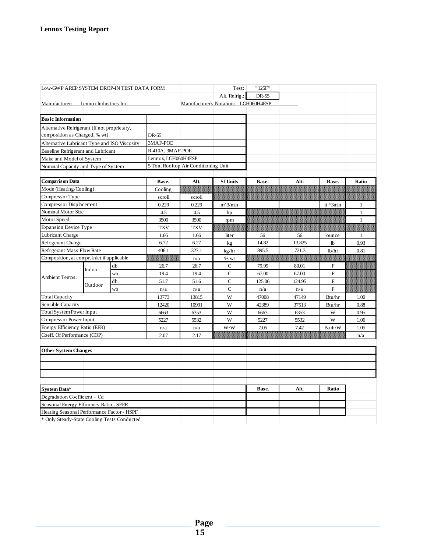| Low-GWP AREP SYSTEM DROP-IN TEST DATA FORM                                            |                        |    |                     |                                      | Test:                                | "125F" |        |              |              |
|---------------------------------------------------------------------------------------|------------------------|----|---------------------|--------------------------------------|--------------------------------------|--------|--------|--------------|--------------|
|                                                                                       |                        |    |                     |                                      | Alt. Refrig.:                        | DR-55  |        |              |              |
| Manufacturer:                                                                         | Lennox Industries Inc. |    |                     |                                      | Manufacturer's Notation: LGH060H4ESP |        |        |              |              |
|                                                                                       |                        |    |                     |                                      |                                      |        |        |              |              |
| <b>Basic Information</b>                                                              |                        |    |                     |                                      |                                      |        |        |              |              |
| Alternative Refrigerant (If not proprietary,                                          |                        |    |                     |                                      |                                      |        |        |              |              |
| composition as Charged, % wt)                                                         |                        |    | DR-55               |                                      |                                      |        |        |              |              |
| Alternative Lubricant Type and ISO Viscosity                                          |                        |    | 3MAF-POE            |                                      |                                      |        |        |              |              |
| Baseline Refrigerant and Lubricant                                                    |                        |    | R-410A, 3MAF-POE    |                                      |                                      |        |        |              |              |
| Make and Model of System                                                              |                        |    | Lennox, LGH060H4ESP |                                      |                                      |        |        |              |              |
| Nominal Capacity and Type of System                                                   |                        |    |                     | 5 Ton, Rooftop Air Conditioning Unit |                                      |        |        |              |              |
|                                                                                       |                        |    |                     |                                      |                                      |        |        |              |              |
| <b>Comparison Data</b>                                                                |                        |    | Base.               | Alt.                                 | <b>SI Units</b>                      | Base.  | Alt.   | Base.        | Ratio        |
| Mode (Heating/Cooling)                                                                |                        |    | Cooling             |                                      | ,,,,,,,,,,,,,,,,,,,,,,,,,            |        |        |              |              |
| Compressor Type                                                                       |                        |    | scroll              | scroll                               |                                      |        |        |              |              |
| Compressor Displacement                                                               |                        |    | 0.229               | 0.229                                | $m^2/$ min                           |        |        | ft ^3min     | 1            |
| Nominal Motor Size                                                                    |                        |    | 4.5                 | $4.5\,$                              | hp                                   |        |        |              | $\mathbf{1}$ |
| Motor Speed                                                                           |                        |    | 3500                | 3500                                 | rpm                                  |        |        |              | $\mathbf{1}$ |
| <b>Expansion Device Type</b>                                                          |                        |    | <b>TXV</b>          | <b>TXV</b>                           |                                      |        |        |              |              |
| Lubricant Charge                                                                      |                        |    | 1.66                | 1.66                                 | liter                                | 56     | 56     | ounce        | $\mathbf{1}$ |
| Refrigerant Charge                                                                    |                        |    | 6.72                | 6.27                                 | kg                                   | 14.82  | 13.825 | lb           | 0.93         |
| Refrigerant Mass Flow Rate                                                            |                        |    | 406.1               | 327.1                                | kg/hr                                | 895.5  | 721.3  | lb/hr        | 0.81         |
| Composition, at compr. inlet if applicable                                            |                        |    |                     | n/a                                  | $%$ wt                               |        |        | munu         |              |
|                                                                                       | Indoor                 | db | 26.7                | 26.7                                 | C                                    | 79.99  | 80.01  | F            |              |
| Ambient Temps.                                                                        |                        | wb | 19.4                | 19.4                                 | $\overline{C}$                       | 67.00  | 67.00  | $\mathbf{F}$ |              |
|                                                                                       | Outdoor                | db | 51.7                | 51.6                                 | $\mathsf{C}$                         | 125.06 | 124.95 | $_{\rm F}$   |              |
|                                                                                       |                        | wb | n/a                 | n/a                                  | $\mathsf{C}$                         | n/a    | n/a    | $\mathbf{F}$ |              |
| <b>Total Capacity</b>                                                                 |                        |    | 13773               | 13815                                | W                                    | 47008  | 47149  | Btu/hr       | 1.00         |
| Sensible Capacity                                                                     |                        |    | 12420               | 10991                                | W                                    | 42389  | 37513  | Btu/hr       | 0.88         |
| <b>Total System Power Input</b>                                                       |                        |    | 6663                | 6353                                 | W                                    | 6663   | 6353   | W            | 0.95         |
| Compressor Power Input                                                                |                        |    | 5227                | 5532                                 | W                                    | 5227   | 5532   | W            | 1.06         |
| Energy Efficiency Ratio (EER)                                                         |                        |    | n/a                 | n/a                                  | W/W                                  | 7.05   | 7.42   | Btuh/W       | 1.05         |
| Coeff. Of Performance (COP)                                                           |                        |    | 2.07                | 2.17                                 |                                      |        |        | 8888888      | n/a          |
|                                                                                       |                        |    |                     |                                      |                                      |        |        |              |              |
| <b>Other System Changes</b>                                                           |                        |    |                     |                                      |                                      |        |        |              |              |
|                                                                                       |                        |    |                     |                                      |                                      |        |        |              |              |
|                                                                                       |                        |    |                     |                                      |                                      |        |        |              |              |
|                                                                                       |                        |    |                     |                                      |                                      |        |        |              |              |
|                                                                                       |                        |    |                     |                                      |                                      |        |        |              |              |
| System Data*                                                                          |                        |    |                     |                                      |                                      | Base.  | Alt.   | Ratio        |              |
| Degradation Coefficient - Cd                                                          |                        |    |                     |                                      |                                      |        |        |              |              |
| Seasonal Energy Efficiency Ratio - SEER<br>Heating Seasonal Performance Factor - HSPF |                        |    |                     |                                      |                                      |        |        |              |              |
| * Only Steady-State Cooling Tests Conducted                                           |                        |    |                     |                                      |                                      |        |        |              |              |
|                                                                                       |                        |    |                     |                                      |                                      |        |        |              |              |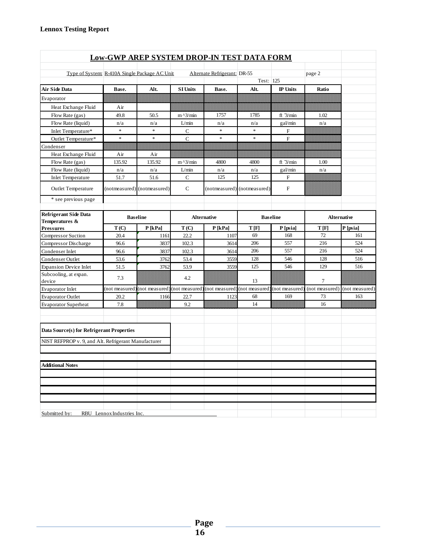| <b>Low-GWP AREP SYSTEM DROP-IN TEST DATA FORM</b>    |               |                             |                 |                              |                             |                 |                       |                    |  |  |
|------------------------------------------------------|---------------|-----------------------------|-----------------|------------------------------|-----------------------------|-----------------|-----------------------|--------------------|--|--|
|                                                      |               |                             |                 |                              |                             |                 |                       |                    |  |  |
| Type of System: R-410A Single Package AC Unit        |               |                             |                 | Alternate Refrigerant: DR-55 | Test: 125                   |                 | page 2                |                    |  |  |
| <b>Air Side Data</b>                                 | Base.         | Alt.                        | <b>SI Units</b> | Base.                        | Alt.                        | IP Units        | Ratio                 |                    |  |  |
| Evaporator                                           |               |                             |                 |                              |                             |                 |                       |                    |  |  |
| Heat Exchange Fluid                                  | Air           |                             |                 |                              |                             |                 |                       |                    |  |  |
| Flow Rate (gas)                                      | 49.8          | 50.5                        | $m^2/$ min      | 1757                         | 1785                        | ft $3/mn$       | 1.02                  |                    |  |  |
| Flow Rate (liquid)                                   | n/a           | n/a                         | L/min           | n/a                          | n/a                         | gal/min         | n/a                   |                    |  |  |
| Inlet Temperature*                                   | $\ast$        | $\ast$                      | $\mathbf C$     | $\ast$                       | $\ast$                      | F               |                       |                    |  |  |
| Outlet Temperature*                                  | $\ast$        | $\ast$                      | $\mathsf{C}$    | $\ast$                       | $\ast$                      | $\mathbf{F}$    |                       |                    |  |  |
| Condenser                                            |               |                             | MMMM            | mmm                          | <b>BROGHOLD</b>             |                 | <b>MARKET STARTED</b> |                    |  |  |
| Heat Exchange Fluid                                  | Air           | Air                         |                 |                              |                             |                 |                       |                    |  |  |
| Flow Rate (gas)                                      | 135.92        | 135.92                      | $m^2/$ min      | 4800                         | 4800                        | ft $3/min$      | 1.00                  |                    |  |  |
| Flow Rate (liquid)                                   | n/a           | n/a                         | L/min           | n/a                          | n/a                         | gal/min         | n/a                   |                    |  |  |
| <b>Inlet Temperature</b>                             | 51.7          | 51.6                        | C               | 125                          | 125                         | F               |                       |                    |  |  |
| <b>Outlet Temperature</b>                            |               | (notmeasured) (notmeasured) | $\mathbf C$     |                              | (notmeasured) (notmeasured) | F               |                       |                    |  |  |
| * see previous page                                  |               |                             |                 |                              |                             |                 |                       |                    |  |  |
| <b>Refrigerant Side Data</b><br>Temperatures &       |               | <b>Baseline</b>             |                 | <b>Alternative</b>           |                             | <b>Baseline</b> |                       | <b>Alternative</b> |  |  |
| <b>Pressures</b>                                     | T(C)          | $P$ [kPa]                   | T(C)            | $P$ [kPa]                    | T [F]                       | P [psia]        | T[F]                  | P [psia]           |  |  |
| Compressor Suction                                   | 20.4          | 1161                        | 22.2            | 1107                         | 69                          | 168             | 72                    | 161                |  |  |
| Compressor Discharge                                 | 96.6          | 3837                        | 102.3           | 3614                         | 206                         | 557             | 216                   | 524                |  |  |
| Condenser Inlet                                      | 96.6          | 3837                        | 102.3           | 3614                         | 206                         | 557             | 216                   | 524                |  |  |
| Condenser Outlet                                     | 53.6          | 3762                        | 53.4            | 3559                         | 128                         | 546             | 128                   | 516                |  |  |
| <b>Expansion Device Inlet</b>                        | 51.5          | 3762                        | 53.9            | 3559                         | 125                         | 546             | 129                   | 516                |  |  |
| Subcooling, at expan.<br>device                      | 7.3           |                             | 4.2             |                              | 13                          |                 | $\tau$                |                    |  |  |
| <b>Evaporator Inlet</b>                              | (not measured | (not measured)              | (not measured   | (not measured)               | (not measured               | (not measured)  | (not measured)        | (not measured)     |  |  |
| <b>Evaporator Outlet</b>                             | 20.2          | 1166                        | 22.7            | 1123                         | 68                          | 169             | 73                    | 163                |  |  |
| <b>Evaporator Superheat</b>                          | 7.8           |                             | 9.2             |                              | 14                          |                 | 16                    |                    |  |  |
| Data Source(s) for Refrigerant Properties            |               |                             |                 |                              |                             |                 |                       |                    |  |  |
| NIST REFPROP v. 9, and Alt. Refrigerant Manufacturer |               |                             |                 |                              |                             |                 |                       |                    |  |  |
| <b>Additional Notes</b>                              |               |                             |                 |                              |                             |                 |                       |                    |  |  |
|                                                      |               |                             |                 |                              |                             |                 |                       |                    |  |  |
|                                                      |               |                             |                 |                              |                             |                 |                       |                    |  |  |
|                                                      |               |                             |                 |                              |                             |                 |                       |                    |  |  |
|                                                      |               |                             |                 |                              |                             |                 |                       |                    |  |  |
|                                                      |               |                             |                 |                              |                             |                 |                       |                    |  |  |
| Submitted by: RBU Lennox Industries Inc.             |               |                             |                 |                              |                             |                 |                       |                    |  |  |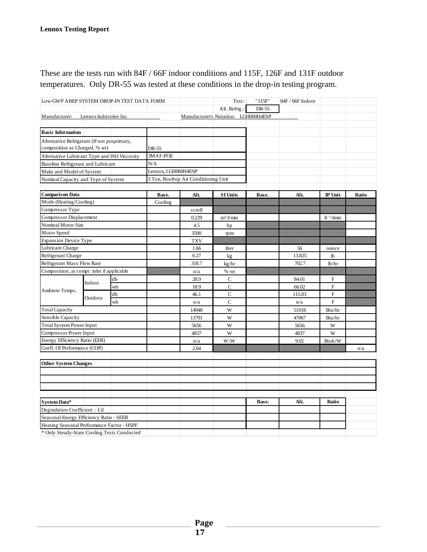These are the tests run with 84F / 66F indoor conditions and 115F, 126F and 131F outdoor temperatures. Only DR-55 was tested at these conditions in the drop-in testing program.

|                                              | Low-GWP AREP SYSTEM DROP-IN TEST DATA FORM |    |                     |                                      | Test:                                | "115F" | 84F / 66F Indoor |                |       |
|----------------------------------------------|--------------------------------------------|----|---------------------|--------------------------------------|--------------------------------------|--------|------------------|----------------|-------|
|                                              |                                            |    |                     |                                      | Alt. Refrig.:                        | DR-55  |                  |                |       |
| Manufacturer:                                | Lennox Industries Inc.                     |    |                     |                                      | Manufacturer's Notation: LGH060H4ESP |        |                  |                |       |
|                                              |                                            |    |                     |                                      |                                      |        |                  |                |       |
| <b>Basic Information</b>                     |                                            |    |                     |                                      |                                      |        |                  |                |       |
| Alternative Refrigerant (If not proprietary, |                                            |    |                     |                                      |                                      |        |                  |                |       |
| composition as Charged, % wt)                |                                            |    | DR-55               |                                      |                                      |        |                  |                |       |
| Alternative Lubricant Type and ISO Viscosity |                                            |    | 3MAF-POE            |                                      |                                      |        |                  |                |       |
| Baseline Refrigerant and Lubricant           |                                            |    | N/A                 |                                      |                                      |        |                  |                |       |
| Make and Model of System                     |                                            |    | Lennox, LGH060H4ESP |                                      |                                      |        |                  |                |       |
| Nominal Capacity and Type of System          |                                            |    |                     | 5 Ton, Rooftop Air Conditioning Unit |                                      |        |                  |                |       |
|                                              |                                            |    |                     |                                      |                                      |        |                  |                |       |
| <b>Comparison Data</b>                       |                                            |    | Base.               | Alt.                                 | <b>SI Units</b>                      | Base.  | Alt.             | IP Unit        | Ratio |
| Mode (Heating/Cooling)                       |                                            |    | Cooling             |                                      |                                      |        |                  |                |       |
| Compressor Type                              |                                            |    |                     | scroll                               |                                      |        |                  |                |       |
| Compressor Displacement                      |                                            |    |                     | 0.229                                | $m^2/$ min                           |        |                  | ft ^3min       |       |
| Nominal Motor Size                           |                                            |    |                     | 4.5                                  | hp                                   |        |                  |                |       |
| Motor Speed                                  |                                            |    |                     | 3500                                 | rpm                                  |        |                  |                |       |
| <b>Expansion Device Type</b>                 |                                            |    |                     | <b>TXV</b>                           |                                      |        |                  |                |       |
| Lubricant Charge                             |                                            |    |                     | 1.66                                 | liter                                |        | 56               | ounce          |       |
| Refrigerant Charge                           |                                            |    |                     | 6.27                                 | kg                                   |        | 13.825           | 1 <sub>b</sub> |       |
| Refrigerant Mass Flow Rate                   |                                            |    |                     | 318.7                                | kg/hr                                |        | 702.7            | lb/hr          |       |
| Composition, at compr. inlet if applicable   |                                            |    |                     | n/a                                  | $%$ wt                               |        |                  | BUHUH          |       |
|                                              | Indoor                                     | db |                     | 28.9                                 | $\mathcal{C}$                        |        | 84.01            | F              |       |
| Ambient Temps.                               |                                            | wb |                     | 18.9                                 | $\mathbf C$                          |        | 66.02            | $\mathbf{F}$   |       |
|                                              | Outdoor                                    | db |                     | 46.1                                 | $\mathbf C$                          |        | 115.03           | $\mathbf{F}$   |       |
|                                              |                                            | wb |                     | n/a                                  | $\mathbf C$                          |        | n/a              | $\mathbf{F}$   |       |
| <b>Total Capacity</b>                        |                                            |    |                     | 14948                                | W                                    |        | 51018            | Btu/hr         |       |
| Sensible Capacity                            |                                            |    |                     | 13791                                | W                                    |        | 47067            | Btu/hr         |       |
| <b>Total System Power Input</b>              |                                            |    |                     | 5656                                 | W                                    |        | 5656             | W              |       |
| Compressor Power Input                       |                                            |    |                     | 4837                                 | W                                    |        | 4837             | W              |       |
| Energy Efficiency Ratio (EER)                |                                            |    |                     | n/a                                  | W/W                                  |        | 9.02             | Btuh/W         |       |
| Coeff. Of Performance (COP)                  |                                            |    |                     | 2.64                                 |                                      |        |                  |                | n/a   |
|                                              |                                            |    |                     |                                      |                                      |        |                  |                |       |
| <b>Other System Changes</b>                  |                                            |    |                     |                                      |                                      |        |                  |                |       |
|                                              |                                            |    |                     |                                      |                                      |        |                  |                |       |
|                                              |                                            |    |                     |                                      |                                      |        |                  |                |       |
|                                              |                                            |    |                     |                                      |                                      |        |                  |                |       |
| System Data*                                 |                                            |    |                     |                                      |                                      | Base.  | Alt.             | Ratio          |       |
| Degradation Coefficient - Cd                 |                                            |    |                     |                                      |                                      |        |                  |                |       |
| Seasonal Energy Efficiency Ratio - SEER      |                                            |    |                     |                                      |                                      |        |                  |                |       |
| Heating Seasonal Performance Factor - HSPF   |                                            |    |                     |                                      |                                      |        |                  |                |       |
| * Only Steady-State Cooling Tests Conducted  |                                            |    |                     |                                      |                                      |        |                  |                |       |
|                                              |                                            |    |                     |                                      |                                      |        |                  |                |       |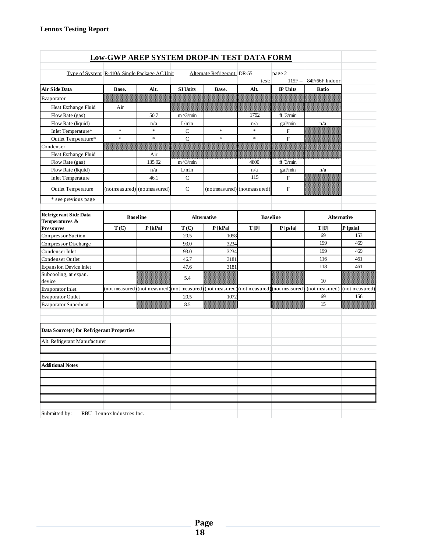| <b>Low-GWP AREP SYSTEM DROP-IN TEST DATA FORM</b> |                            |                             |                            |                              |                             |                           |                    |                |  |  |
|---------------------------------------------------|----------------------------|-----------------------------|----------------------------|------------------------------|-----------------------------|---------------------------|--------------------|----------------|--|--|
|                                                   |                            |                             |                            |                              |                             |                           |                    |                |  |  |
| Type of System: R-410A Single Package AC Unit     |                            |                             |                            | Alternate Refrigerant: DR-55 | test:                       | page 2<br>$115F -$        | 84F/66F Indoor     |                |  |  |
| <b>Air Side Data</b>                              | Base.                      | Alt.                        | <b>SI Units</b>            | Base.                        | Alt.                        | IP Units                  | Ratio              |                |  |  |
|                                                   |                            |                             |                            |                              |                             |                           |                    |                |  |  |
| Evaporator                                        |                            |                             |                            |                              |                             |                           |                    |                |  |  |
| Heat Exchange Fluid                               | Air                        |                             |                            |                              |                             |                           |                    |                |  |  |
| Flow Rate (gas)                                   |                            | 50.7                        | $m^2/$ min                 |                              | 1792                        | ft $3/min$                |                    |                |  |  |
| Flow Rate (liquid)                                | $\ast$                     | n/a                         | L/min                      |                              | n/a<br>$\ast$               | gal/min                   | n/a                |                |  |  |
| Inlet Temperature*                                | $\ast$                     | $\ast$<br>$\ast$            | $\mathbf C$                | $\ast$<br>$\ast$             | $\ast$                      | F                         |                    |                |  |  |
| Outlet Temperature*                               |                            |                             | $\mathsf{C}$<br>a a a anns |                              | e e provincia               | $\boldsymbol{\mathrm{F}}$ | a a gabharta an t- |                |  |  |
| Condenser<br>Heat Exchange Fluid                  |                            |                             |                            |                              |                             |                           |                    |                |  |  |
|                                                   |                            | Air<br>135.92               |                            |                              |                             | ft 3/min                  |                    |                |  |  |
| Flow Rate (gas)<br>Flow Rate (liquid)             |                            | n/a                         | $m^2/$ min<br>L/min        |                              | 4800<br>n/a                 | gal/min                   | n/a                |                |  |  |
| <b>Inlet Temperature</b>                          |                            | 46.1                        | $\mathbf C$                |                              | 115                         | F                         |                    |                |  |  |
| <b>Outlet Temperature</b>                         |                            | (notmeasured) (notmeasured) | $\mathsf{C}$               |                              | (notmeasured) (notmeasured) | $\boldsymbol{\mathrm{F}}$ |                    |                |  |  |
| * see previous page                               |                            |                             |                            |                              |                             |                           |                    |                |  |  |
| <b>Refrigerant Side Data</b>                      |                            | <b>Baseline</b>             |                            | <b>Alternative</b>           |                             | <b>Baseline</b>           | <b>Alternative</b> |                |  |  |
| Temperatures &<br><b>Pressures</b>                | T(C)                       | $P$ [kPa]                   | T(C)                       | $P$ [kPa]                    | TF                          | P [psia]                  | TF                 | $P$ [psia]     |  |  |
| Compressor Suction                                |                            |                             | 20.5                       | 1058                         |                             |                           | 69                 | 153            |  |  |
| Compressor Discharge                              |                            |                             | 93.0                       | 3234                         |                             |                           | 199                | 469            |  |  |
| Condenser Inlet                                   |                            |                             | 93.0                       | 3234                         |                             |                           | 199                | 469            |  |  |
| Condenser Outlet                                  |                            |                             | 46.7                       | 3181                         |                             |                           | 116                | 461            |  |  |
| <b>Expansion Device Inlet</b>                     |                            |                             | 47.6                       | 3181                         |                             |                           | 118                | 461            |  |  |
| Subcooling, at expan.<br>device                   |                            |                             | 5.4                        |                              |                             |                           | 10                 |                |  |  |
| Evaporator Inlet                                  | (not measured              | (not measured               | (not measured              | (not measured                | (not measured               | (not measured             | (not measured)     | (not measured) |  |  |
| <b>Evaporator Outlet</b>                          |                            |                             | 20.5                       | 1072                         |                             |                           | 69                 | 156            |  |  |
| <b>Evaporator Superheat</b>                       |                            |                             | 8.5                        |                              |                             |                           | 15                 |                |  |  |
|                                                   |                            |                             |                            |                              |                             |                           |                    |                |  |  |
| Data Source(s) for Refrigerant Properties         |                            |                             |                            |                              |                             |                           |                    |                |  |  |
| Alt. Refrigerant Manufacturer                     |                            |                             |                            |                              |                             |                           |                    |                |  |  |
| <b>Additional Notes</b>                           |                            |                             |                            |                              |                             |                           |                    |                |  |  |
|                                                   |                            |                             |                            |                              |                             |                           |                    |                |  |  |
|                                                   |                            |                             |                            |                              |                             |                           |                    |                |  |  |
|                                                   |                            |                             |                            |                              |                             |                           |                    |                |  |  |
|                                                   |                            |                             |                            |                              |                             |                           |                    |                |  |  |
|                                                   |                            |                             |                            |                              |                             |                           |                    |                |  |  |
| Submitted by:                                     | RBU Lennox Industries Inc. |                             |                            |                              |                             |                           |                    |                |  |  |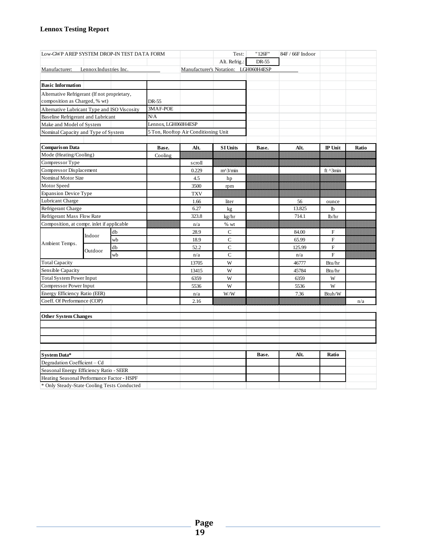# **Lennox Testing Report**

| Low-GWP AREP SYSTEM DROP-IN TEST DATA FORM   |                          |    |          |                                      | Test:                                | "126F" | 84F / 66F Indoor |                        |                   |
|----------------------------------------------|--------------------------|----|----------|--------------------------------------|--------------------------------------|--------|------------------|------------------------|-------------------|
|                                              |                          |    |          |                                      | Alt. Refrig.:                        | DR-55  |                  |                        |                   |
| Manufacturer:                                | Lennox Industries Inc.   |    |          |                                      | Manufacturer's Notation: LGH060H4ESP |        |                  |                        |                   |
|                                              |                          |    |          |                                      |                                      |        |                  |                        |                   |
| <b>Basic Information</b>                     |                          |    |          |                                      |                                      |        |                  |                        |                   |
| Alternative Refrigerant (If not proprietary, |                          |    |          |                                      |                                      |        |                  |                        |                   |
| composition as Charged, % wt)                |                          |    | DR-55    |                                      |                                      |        |                  |                        |                   |
| Alternative Lubricant Type and ISO Viscosity |                          |    | 3MAF-POE |                                      |                                      |        |                  |                        |                   |
| Baseline Refrigerant and Lubricant           |                          |    | N/A      |                                      |                                      |        |                  |                        |                   |
|                                              | Make and Model of System |    |          | Lennox, LGH060H4ESP                  |                                      |        |                  |                        |                   |
| Nominal Capacity and Type of System          |                          |    |          | 5 Ton, Rooftop Air Conditioning Unit |                                      |        |                  |                        |                   |
|                                              |                          |    |          |                                      |                                      |        |                  |                        |                   |
| <b>Comparison Data</b>                       |                          |    | Base.    | Alt.                                 | <b>SI Units</b>                      | Base.  | Alt.             | IP Unit                | Ratio             |
| Mode (Heating/Cooling)                       |                          |    | Cooling  |                                      |                                      |        |                  | <u> HOUSE ENDER</u>    |                   |
| Compressor Type                              |                          |    |          | scroll                               |                                      |        |                  | <u> Hillinger i St</u> |                   |
| Compressor Displacement                      |                          |    |          | 0.229                                | $m^2/$ min                           |        |                  | ft ^3min               |                   |
| Nominal Motor Size                           |                          |    |          | 4.5                                  | hp                                   |        |                  |                        |                   |
| Motor Speed                                  |                          |    |          | 3500                                 | rpm                                  |        |                  |                        |                   |
| <b>Expansion Device Type</b>                 |                          |    |          | <b>TXV</b>                           |                                      |        |                  |                        |                   |
| Lubricant Charge                             |                          |    |          | 1.66                                 | liter                                |        | 56               | ounce                  |                   |
| Refrigerant Charge                           |                          |    | 6.27     | kg                                   |                                      | 13.825 | lb               |                        |                   |
| Refrigerant Mass Flow Rate                   |                          |    |          | 323.8                                | kg/hr                                |        | 714.1            | lb/hr                  |                   |
| Composition, at compr. inlet if applicable   |                          |    |          | n/a                                  | $%$ wt                               |        |                  | ,,,,,,,,,,,,,,,,,      | <b>BROGHERING</b> |
|                                              | Indoor                   | db |          | 28.9                                 | $\mathbf C$                          |        | 84.00            | F                      |                   |
| Ambient Temps.                               |                          | wb |          | 18.9                                 | $\mathbf C$                          |        | 65.99            | F                      |                   |
|                                              | Outdoor                  | db |          | 52.2                                 | $\mathsf{C}$                         |        | 125.99           | ${\rm F}$              |                   |
|                                              |                          | wb |          | n/a                                  | $\mathsf{C}$                         |        | n/a              | F                      |                   |
| <b>Total Capacity</b>                        |                          |    |          | 13705                                | W                                    |        | 46777            | Btu/hr                 |                   |
| Sensible Capacity                            |                          |    |          | 13415                                | W                                    |        | 45784            | Btu/hr                 |                   |
| Total System Power Input                     |                          |    |          | 6359                                 | W                                    |        | 6359             | W                      |                   |
| Compressor Power Input                       |                          |    |          | 5536                                 | W                                    |        | 5536             | W                      |                   |
| Energy Efficiency Ratio (EER)                |                          |    |          | n/a                                  | W/W                                  |        | 7.36             | Btuh/W                 |                   |
| Coeff. Of Performance (COP)                  |                          |    |          | 2.16                                 |                                      |        |                  |                        | n/a               |
|                                              |                          |    |          |                                      |                                      |        |                  |                        |                   |
| <b>Other System Changes</b>                  |                          |    |          |                                      |                                      |        |                  |                        |                   |
|                                              |                          |    |          |                                      |                                      |        |                  |                        |                   |
|                                              |                          |    |          |                                      |                                      |        |                  |                        |                   |
|                                              |                          |    |          |                                      |                                      |        |                  |                        |                   |
|                                              |                          |    |          |                                      |                                      | Base.  | Alt.             | Ratio                  |                   |
| System Data*<br>Degradation Coefficient - Cd |                          |    |          |                                      |                                      |        |                  |                        |                   |
| Seasonal Energy Efficiency Ratio - SEER      |                          |    |          |                                      |                                      |        |                  |                        |                   |
| Heating Seasonal Performance Factor - HSPF   |                          |    |          |                                      |                                      |        |                  |                        |                   |
| * Only Steady-State Cooling Tests Conducted  |                          |    |          |                                      |                                      |        |                  |                        |                   |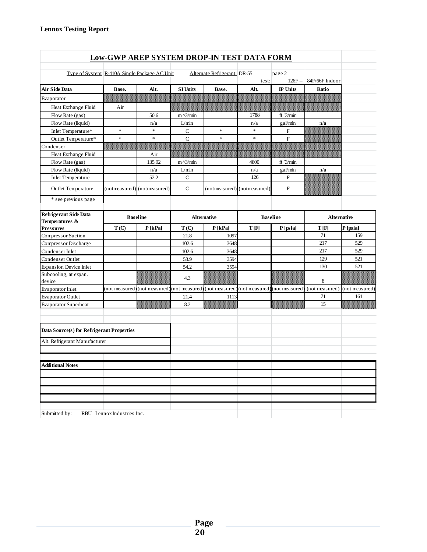| <b>Low-GWP AREP SYSTEM DROP-IN TEST DATA FORM</b>                          |                                               |                             |                    |                              |                             |                    |                    |                |
|----------------------------------------------------------------------------|-----------------------------------------------|-----------------------------|--------------------|------------------------------|-----------------------------|--------------------|--------------------|----------------|
|                                                                            |                                               |                             |                    |                              |                             |                    |                    |                |
|                                                                            | Type of System: R-410A Single Package AC Unit |                             |                    | Alternate Refrigerant: DR-55 |                             | page 2<br>$126F -$ | 84F/66F Indoor     |                |
| <b>Air Side Data</b>                                                       | Base.                                         | Alt.                        | <b>SI Units</b>    | Base.                        | test:<br>Alt.               | <b>IP</b> Units    | Ratio              |                |
| Evaporator                                                                 |                                               |                             |                    |                              |                             |                    |                    |                |
| Heat Exchange Fluid                                                        | Air                                           |                             |                    |                              |                             |                    |                    |                |
| Flow Rate (gas)                                                            |                                               | 50.6                        | $m^2/$ min         |                              | 1788                        | ft $3/min$         |                    |                |
| Flow Rate (liquid)                                                         |                                               | n/a                         | L/min              |                              | n/a                         | gal/min            | n/a                |                |
| Inlet Temperature*                                                         | $\ast$                                        | $\ast$                      | $\mathbf C$        | $\ast$                       | $\ast$                      | F                  |                    |                |
| Outlet Temperature*                                                        | $\ast$                                        | $\ast$                      | $\mathbf C$        | $\ast$                       | $\ast$                      | $\mathbf{F}$       |                    |                |
| Condenser                                                                  |                                               |                             |                    |                              |                             |                    |                    |                |
| Heat Exchange Fluid                                                        |                                               | Air                         |                    |                              |                             |                    |                    |                |
| Flow Rate (gas)                                                            |                                               | 135.92                      | $m^2/$ min         |                              | 4800                        | ft 3/min           |                    |                |
| Flow Rate (liquid)                                                         |                                               | n/a                         | L/min              |                              | n/a                         | gal/min            | n/a                |                |
| <b>Inlet Temperature</b>                                                   |                                               | 52.2                        | $\mathbf C$        |                              | 126                         | $_{\rm F}$         |                    |                |
| <b>Outlet Temperature</b>                                                  |                                               | (notmeasured) (notmeasured) | $\mathsf{C}$       |                              | (notmeasured) (notmeasured) | F                  |                    |                |
| * see previous page                                                        |                                               |                             |                    |                              |                             |                    |                    |                |
| <b>Refrigerant Side Data</b><br>Temperatures &                             | <b>Baseline</b>                               |                             | <b>Alternative</b> |                              | <b>Baseline</b>             |                    | <b>Alternative</b> |                |
| <b>Pressures</b>                                                           | T(C)                                          | $P$ [kPa]                   | T(C)               | $P$ [kPa]                    | <b>T</b> [F]                | P [psia]           | T[F]               | P [psia]       |
| Compressor Suction                                                         |                                               |                             | 21.8               | 1097                         |                             |                    | 71                 | 159            |
| Compressor Discharge                                                       |                                               |                             | 102.6              | 3648                         |                             |                    | 217                | 529            |
| Condenser Inlet                                                            |                                               |                             | 102.6              | 3648                         |                             |                    | 217                | 529            |
| Condenser Outlet                                                           |                                               |                             | 53.9               | 3594                         |                             |                    | 129                | 521            |
| <b>Expansion Device Inlet</b>                                              |                                               |                             | 54.2               | 3594                         |                             |                    | 130                | 521            |
| Subcooling, at expan.<br>device                                            |                                               |                             | 4.3                |                              |                             |                    | 8                  |                |
| <b>Evaporator Inlet</b>                                                    | (not measured                                 | (not measured               | (not measured      | (not measured)               | (not measured               | (not measured)     | (not measured)     | (not measured) |
| <b>Evaporator Outlet</b>                                                   |                                               |                             | 21.4               | 1113                         |                             |                    | 71                 | 161            |
| <b>Evaporator Superheat</b>                                                |                                               |                             | 8.2                |                              |                             |                    | 15                 |                |
| Data Source(s) for Refrigerant Properties<br>Alt. Refrigerant Manufacturer |                                               |                             |                    |                              |                             |                    |                    |                |
|                                                                            |                                               |                             |                    |                              |                             |                    |                    |                |
| <b>Additional Notes</b>                                                    |                                               |                             |                    |                              |                             |                    |                    |                |
|                                                                            |                                               |                             |                    |                              |                             |                    |                    |                |
|                                                                            |                                               |                             |                    |                              |                             |                    |                    |                |
|                                                                            |                                               |                             |                    |                              |                             |                    |                    |                |
|                                                                            |                                               |                             |                    |                              |                             |                    |                    |                |
| Submitted by: RBU Lennox Industries Inc.                                   |                                               |                             |                    |                              |                             |                    |                    |                |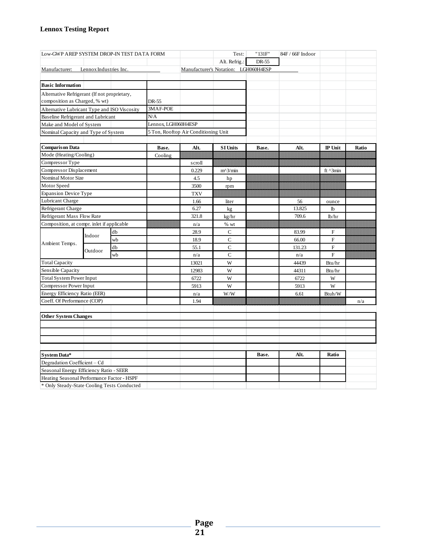# **Lennox Testing Report**

| Low-GWP AREP SYSTEM DROP-IN TEST DATA FORM   |         |                     |                                      |                                      | Test:               | "131F"                     | 84F / 66F Indoor |                           |                     |
|----------------------------------------------|---------|---------------------|--------------------------------------|--------------------------------------|---------------------|----------------------------|------------------|---------------------------|---------------------|
|                                              |         |                     |                                      | Alt. Refrig.:                        | DR-55               |                            |                  |                           |                     |
| Lennox Industries Inc.<br>Manufacturer:      |         |                     |                                      | Manufacturer's Notation: LGH060H4ESP |                     |                            |                  |                           |                     |
|                                              |         |                     |                                      |                                      |                     |                            |                  |                           |                     |
| <b>Basic Information</b>                     |         |                     |                                      |                                      |                     |                            |                  |                           |                     |
| Alternative Refrigerant (If not proprietary, |         |                     |                                      |                                      |                     |                            |                  |                           |                     |
| composition as Charged, % wt)                |         |                     | DR-55                                |                                      |                     |                            |                  |                           |                     |
| Alternative Lubricant Type and ISO Viscosity |         |                     | 3MAF-POE                             |                                      |                     |                            |                  |                           |                     |
| Baseline Refrigerant and Lubricant           |         |                     | N/A                                  |                                      |                     |                            |                  |                           |                     |
| Make and Model of System                     |         | Lennox, LGH060H4ESP |                                      |                                      |                     |                            |                  |                           |                     |
| Nominal Capacity and Type of System          |         |                     | 5 Ton, Rooftop Air Conditioning Unit |                                      |                     |                            |                  |                           |                     |
|                                              |         |                     |                                      |                                      |                     |                            |                  |                           |                     |
| <b>Comparison Data</b>                       |         |                     | Base.                                | Alt.                                 | <b>SI Units</b>     | Base.                      | Alt.             | IP Unit                   | Ratio               |
| Mode (Heating/Cooling)                       |         |                     | Cooling                              |                                      |                     | <u> HOUSE ENDER</u>        |                  | <b>------------------</b> | <b>BERBERBERBER</b> |
| Compressor Type                              |         |                     |                                      | scroll                               |                     |                            |                  |                           | mmmmm               |
| Compressor Displacement                      |         |                     |                                      | 0.229                                | $m^2/$ min          |                            |                  | ft ^3min                  |                     |
| Nominal Motor Size                           |         |                     |                                      | 4.5                                  | hp                  |                            |                  |                           |                     |
| Motor Speed                                  |         |                     |                                      | 3500                                 | rpm                 |                            |                  |                           |                     |
| <b>Expansion Device Type</b>                 |         |                     | <b>TXV</b>                           |                                      |                     |                            |                  |                           |                     |
| Lubricant Charge                             |         |                     |                                      | 1.66                                 | liter               |                            | 56               | ounce                     |                     |
| Refrigerant Charge                           |         |                     |                                      | 6.27                                 | kg                  |                            | 13.825           | lb                        |                     |
| Refrigerant Mass Flow Rate                   |         |                     |                                      | 321.8                                | kg/hr               |                            | 709.6            | lb/hr                     |                     |
| Composition, at compr. inlet if applicable   |         |                     | a a bhanach                          | n/a                                  | $%$ wt              |                            |                  |                           | 88888888888         |
|                                              | Indoor  | db                  |                                      | 28.9                                 | C                   |                            | 83.99            | F                         |                     |
| Ambient Temps.                               |         | wb                  |                                      | 18.9                                 | $\mathsf{C}$        |                            | 66.00            | F                         |                     |
|                                              | Outdoor | db                  |                                      | 55.1                                 | $\mathbf C$         |                            | 131.23           | F                         |                     |
|                                              |         | wb                  |                                      | n/a                                  | $\mathsf{C}$        |                            | n/a              | F                         |                     |
| <b>Total Capacity</b>                        |         |                     | 13021                                | W                                    |                     | 44439                      | Btu/hr           |                           |                     |
| Sensible Capacity                            |         |                     | 12983                                | W                                    |                     | 44311                      | Btu/hr           |                           |                     |
| <b>Total System Power Input</b>              |         |                     |                                      | 6722                                 | W                   |                            | 6722             | W                         |                     |
| Compressor Power Input                       |         |                     | 5913                                 | W                                    |                     | 5913                       | W                |                           |                     |
| Energy Efficiency Ratio (EER)                |         |                     | n/a                                  | W/W                                  |                     | 6.61                       | Btuh/W           |                           |                     |
| Coeff. Of Performance (COP)                  |         |                     | 1.94                                 |                                      | <u> SHENHOLDHEN</u> | <u> Hilliger i Station</u> |                  | n/a                       |                     |
|                                              |         |                     |                                      |                                      |                     |                            |                  |                           |                     |
| <b>Other System Changes</b>                  |         |                     |                                      |                                      |                     |                            |                  |                           |                     |
|                                              |         |                     |                                      |                                      |                     |                            |                  |                           |                     |
|                                              |         |                     |                                      |                                      |                     |                            |                  |                           |                     |
|                                              |         |                     |                                      |                                      |                     |                            |                  |                           |                     |
| System Data*                                 |         |                     |                                      |                                      |                     | Base.                      | Alt.             | Ratio                     |                     |
| Degradation Coefficient - Cd                 |         |                     |                                      |                                      |                     |                            |                  |                           |                     |
| Seasonal Energy Efficiency Ratio - SEER      |         |                     |                                      |                                      |                     |                            |                  |                           |                     |
| Heating Seasonal Performance Factor - HSPF   |         |                     |                                      |                                      |                     |                            |                  |                           |                     |
| * Only Steady-State Cooling Tests Conducted  |         |                     |                                      |                                      |                     |                            |                  |                           |                     |